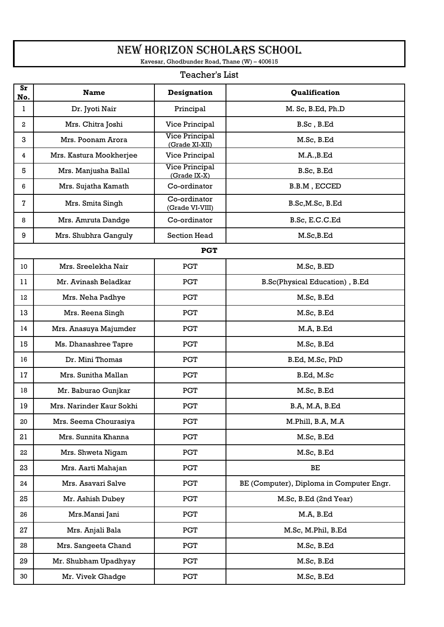## NEW HORIZON SCHOLARS SCHOOL

Kavesar, Ghodbunder Road, Thane (W) – 400615

## Teacher's List

| $S_{r}$<br>No. | <b>Name</b>              | <b>Designation</b>                      | Qualification                            |
|----------------|--------------------------|-----------------------------------------|------------------------------------------|
| 1              | Dr. Jyoti Nair           | Principal                               | M. Sc, B.Ed, Ph.D                        |
| 2              | Mrs. Chitra Joshi        | Vice Principal                          | B.Sc, B.Ed                               |
| 3              | Mrs. Poonam Arora        | <b>Vice Principal</b><br>(Grade XI-XII) | M.Sc, B.Ed                               |
| 4              | Mrs. Kastura Mookherjee  | Vice Principal                          | M.A., B.Ed                               |
| 5              | Mrs. Manjusha Ballal     | <b>Vice Principal</b><br>(Grade IX-X)   | B.Sc, B.Ed                               |
| 6              | Mrs. Sujatha Kamath      | Co-ordinator                            | B.B.M, ECCED                             |
| 7              | Mrs. Smita Singh         | Co-ordinator<br>(Grade VI-VIII)         | B.Sc, M.Sc, B.Ed                         |
| 8              | Mrs. Amruta Dandge       | Co-ordinator                            | B.Sc, E.C.C.Ed                           |
| 9              | Mrs. Shubhra Ganguly     | <b>Section Head</b>                     | M.Sc, B.Ed                               |
|                |                          | <b>PGT</b>                              |                                          |
| 10             | Mrs. Sreelekha Nair      | <b>PGT</b>                              | M.Sc, B.ED                               |
| 11             | Mr. Avinash Beladkar     | <b>PGT</b>                              | B.Sc(Physical Education), B.Ed           |
| 12             | Mrs. Neha Padhye         | <b>PGT</b>                              | M.Sc, B.Ed                               |
| 13             | Mrs. Reena Singh         | <b>PGT</b>                              | M.Sc, B.Ed                               |
| 14             | Mrs. Anasuya Majumder    | <b>PGT</b>                              | M.A, B.Ed                                |
| 15             | Ms. Dhanashree Tapre     | <b>PGT</b>                              | M.Sc, B.Ed                               |
| 16             | Dr. Mini Thomas          | <b>PGT</b>                              | B.Ed, M.Sc, PhD                          |
| 17             | Mrs. Sunitha Mallan      | <b>PGT</b>                              | B.Ed, M.Sc                               |
| 18             | Mr. Baburao Gunjkar      | <b>PGT</b>                              | M.Sc, B.Ed                               |
| 19             | Mrs. Narinder Kaur Sokhi | <b>PGT</b>                              | B.A, M.A, B.Ed                           |
| 20             | Mrs. Seema Chourasiya    | <b>PGT</b>                              | M.Phill, B.A, M.A                        |
| 21             | Mrs. Sunnita Khanna      | <b>PGT</b>                              | M.Sc, B.Ed                               |
| 22             | Mrs. Shweta Nigam        | <b>PGT</b>                              | M.Sc, B.Ed                               |
| 23             | Mrs. Aarti Mahajan       | <b>PGT</b>                              | $\rm BE$                                 |
| 24             | Mrs. Asavari Salve       | <b>PGT</b>                              | BE (Computer), Diploma in Computer Engr. |
| 25             | Mr. Ashish Dubey         | <b>PGT</b>                              | M.Sc, B.Ed (2nd Year)                    |
| 26             | Mrs.Mansi Jani           | <b>PGT</b>                              | M.A, B.Ed                                |
| 27             | Mrs. Anjali Bala         | <b>PGT</b>                              | M.Sc, M.Phil, B.Ed                       |
| 28             | Mrs. Sangeeta Chand      | <b>PGT</b>                              | M.Sc, B.Ed                               |
| 29             | Mr. Shubham Upadhyay     | <b>PGT</b>                              | M.Sc, B.Ed                               |
| 30             | Mr. Vivek Ghadge         | <b>PGT</b>                              | M.Sc, B.Ed                               |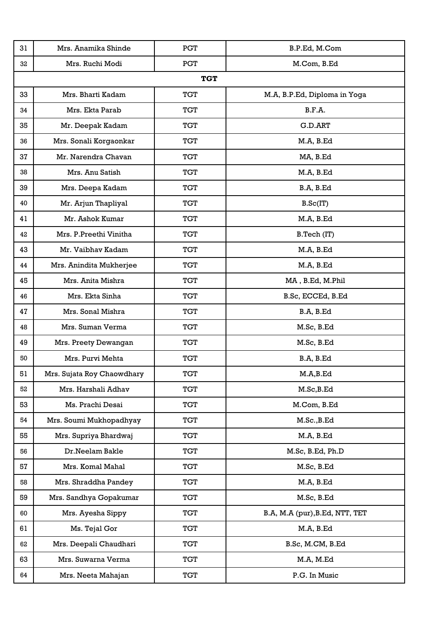| 31 | Mrs. Anamika Shinde        | <b>PGT</b> | B.P.Ed, M.Com                  |
|----|----------------------------|------------|--------------------------------|
| 32 | Mrs. Ruchi Modi            | <b>PGT</b> | M.Com, B.Ed                    |
|    |                            | <b>TGT</b> |                                |
| 33 | Mrs. Bharti Kadam          | <b>TGT</b> | M.A, B.P.Ed, Diploma in Yoga   |
| 34 | Mrs. Ekta Parab            | <b>TGT</b> | B.F.A.                         |
| 35 | Mr. Deepak Kadam           | <b>TGT</b> | G.D.ART                        |
| 36 | Mrs. Sonali Korgaonkar     | <b>TGT</b> | M.A, B.Ed                      |
| 37 | Mr. Narendra Chavan        | <b>TGT</b> | MA, B.Ed                       |
| 38 | Mrs. Anu Satish            | <b>TGT</b> | M.A, B.Ed                      |
| 39 | Mrs. Deepa Kadam           | <b>TGT</b> | B.A, B.Ed                      |
| 40 | Mr. Arjun Thapliyal        | <b>TGT</b> | B.Sc(IT)                       |
| 41 | Mr. Ashok Kumar            | <b>TGT</b> | M.A, B.Ed                      |
| 42 | Mrs. P.Preethi Vinitha     | <b>TGT</b> | B.Tech (IT)                    |
| 43 | Mr. Vaibhav Kadam          | <b>TGT</b> | M.A, B.Ed                      |
| 44 | Mrs. Anindita Mukherjee    | <b>TGT</b> | M.A, B.Ed                      |
| 45 | Mrs. Anita Mishra          | <b>TGT</b> | MA, B.Ed, M.Phil               |
| 46 | Mrs. Ekta Sinha            | <b>TGT</b> | B.Sc, ECCEd, B.Ed              |
| 47 | Mrs. Sonal Mishra          | TGT        | B.A, B.Ed                      |
| 48 | Mrs. Suman Verma           | <b>TGT</b> | M.Sc, B.Ed                     |
| 49 | Mrs. Preety Dewangan       | <b>TGT</b> | M.Sc, B.Ed                     |
| 50 | Mrs. Purvi Mehta           | <b>TGT</b> | B.A, B.Ed                      |
| 51 | Mrs. Sujata Roy Chaowdhary | <b>TGT</b> | M.A,B.Ed                       |
| 52 | Mrs. Harshali Adhav        | <b>TGT</b> | M.Sc, B.Ed                     |
| 53 | Ms. Prachi Desai           | <b>TGT</b> | M.Com, B.Ed                    |
| 54 | Mrs. Soumi Mukhopadhyay    | <b>TGT</b> | M.Sc., B.Ed                    |
| 55 | Mrs. Supriya Bhardwaj      | <b>TGT</b> | M.A, B.Ed                      |
| 56 | Dr.Neelam Bakle            | <b>TGT</b> | M.Sc, B.Ed, Ph.D               |
| 57 | Mrs. Komal Mahal           | <b>TGT</b> | M.Sc, B.Ed                     |
| 58 | Mrs. Shraddha Pandey       | <b>TGT</b> | M.A, B.Ed                      |
| 59 | Mrs. Sandhya Gopakumar     | <b>TGT</b> | M.Sc, B.Ed                     |
| 60 | Mrs. Ayesha Sippy          | <b>TGT</b> | B.A, M.A (pur), B.Ed, NTT, TET |
| 61 | Ms. Tejal Gor              | <b>TGT</b> | M.A, B.Ed                      |
| 62 | Mrs. Deepali Chaudhari     | <b>TGT</b> | B.Sc, M.CM, B.Ed               |
| 63 | Mrs. Suwarna Verma         | <b>TGT</b> | M.A, M.Ed                      |
| 64 | Mrs. Neeta Mahajan         | <b>TGT</b> | P.G. In Music                  |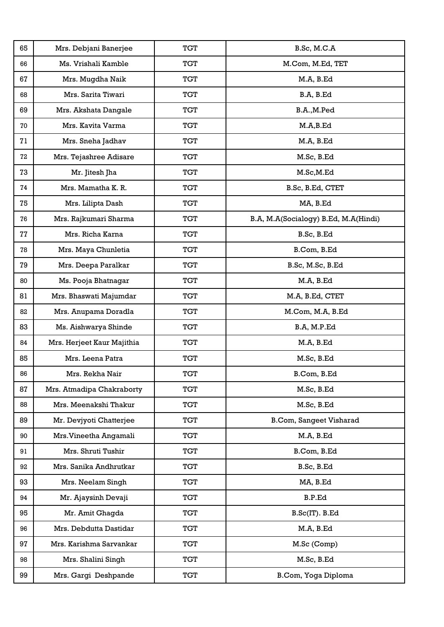| 65 | Mrs. Debjani Banerjee      | <b>TGT</b> | B.Sc, M.C.A                          |
|----|----------------------------|------------|--------------------------------------|
| 66 | Ms. Vrishali Kamble        | <b>TGT</b> | M.Com, M.Ed, TET                     |
| 67 | Mrs. Mugdha Naik           | <b>TGT</b> | M.A, B.Ed                            |
| 68 | Mrs. Sarita Tiwari         | <b>TGT</b> | B.A, B.Ed                            |
| 69 | Mrs. Akshata Dangale       | <b>TGT</b> | B.A., M.Ped                          |
| 70 | Mrs. Kavita Varma          | <b>TGT</b> | M.A,B.Ed                             |
| 71 | Mrs. Sneha Jadhav          | <b>TGT</b> | M.A, B.Ed                            |
| 72 | Mrs. Tejashree Adisare     | <b>TGT</b> | M.Sc, B.Ed                           |
| 73 | Mr. Jitesh Jha             | <b>TGT</b> | M.Sc,M.Ed                            |
| 74 | Mrs. Mamatha K. R.         | <b>TGT</b> | B.Sc, B.Ed, CTET                     |
| 75 | Mrs. Lilipta Dash          | <b>TGT</b> | MA, B.Ed                             |
| 76 | Mrs. Rajkumari Sharma      | <b>TGT</b> | B.A, M.A(Socialogy) B.Ed, M.A(Hindi) |
| 77 | Mrs. Richa Karna           | <b>TGT</b> | B.Sc, B.Ed                           |
| 78 | Mrs. Maya Chunletia        | <b>TGT</b> | B.Com, B.Ed                          |
| 79 | Mrs. Deepa Paralkar        | <b>TGT</b> | B.Sc, M.Sc, B.Ed                     |
| 80 | Ms. Pooja Bhatnagar        | <b>TGT</b> | M.A, B.Ed                            |
| 81 | Mrs. Bhaswati Majumdar     | <b>TGT</b> | M.A, B.Ed, CTET                      |
| 82 | Mrs. Anupama Doradla       | TGT        | M.Com, M.A, B.Ed                     |
| 83 | Ms. Aishwarya Shinde       | <b>TGT</b> | B.A, M.P.Ed                          |
| 84 | Mrs. Herjeet Kaur Majithia | TGT        | M.A, B.Ed                            |
| 85 | Mrs. Leena Patra           | <b>TGT</b> | M.Sc, B.Ed                           |
| 86 | Mrs. Rekha Nair            | <b>TGT</b> | B.Com, B.Ed                          |
| 87 | Mrs. Atmadipa Chakraborty  | <b>TGT</b> | M.Sc, B.Ed                           |
| 88 | Mrs. Meenakshi Thakur      | <b>TGT</b> | M.Sc, B.Ed                           |
| 89 | Mr. Devjyoti Chatterjee    | <b>TGT</b> | <b>B.Com, Sangeet Visharad</b>       |
| 90 | Mrs. Vineetha Angamali     | <b>TGT</b> | M.A, B.Ed                            |
| 91 | Mrs. Shruti Tushir         | <b>TGT</b> | B.Com, B.Ed                          |
| 92 | Mrs. Sanika Andhrutkar     | <b>TGT</b> | B.Sc, B.Ed                           |
| 93 | Mrs. Neelam Singh          | <b>TGT</b> | MA, B.Ed                             |
| 94 | Mr. Ajaysinh Devaji        | <b>TGT</b> | B.P.Ed                               |
| 95 | Mr. Amit Ghagda            | <b>TGT</b> | $B.Sc(IT)$ . $B.Ed$                  |
| 96 | Mrs. Debdutta Dastidar     | <b>TGT</b> | M.A, B.Ed                            |
| 97 | Mrs. Karishma Sarvankar    | <b>TGT</b> | M.Sc (Comp)                          |
| 98 | Mrs. Shalini Singh         | <b>TGT</b> | M.Sc, B.Ed                           |
| 99 | Mrs. Gargi Deshpande       | <b>TGT</b> | B.Com, Yoga Diploma                  |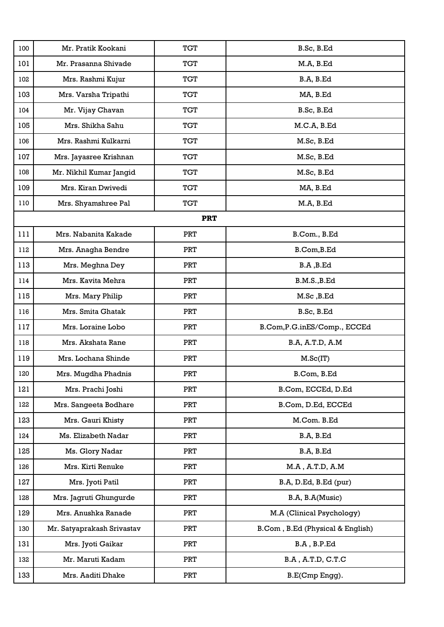| 100 | Mr. Pratik Kookani         | <b>TGT</b> | B.Sc, B.Ed                       |
|-----|----------------------------|------------|----------------------------------|
| 101 | Mr. Prasanna Shivade       | <b>TGT</b> | M.A, B.Ed                        |
| 102 | Mrs. Rashmi Kujur          | <b>TGT</b> | B.A, B.Ed                        |
| 103 | Mrs. Varsha Tripathi       | <b>TGT</b> | MA, B.Ed                         |
| 104 | Mr. Vijay Chavan           | <b>TGT</b> | B.Sc, B.Ed                       |
| 105 | Mrs. Shikha Sahu           | TGT        | M.C.A, B.Ed                      |
| 106 | Mrs. Rashmi Kulkarni       | TGT        | M.Sc, B.Ed                       |
| 107 | Mrs. Jayasree Krishnan     | <b>TGT</b> | M.Sc, B.Ed                       |
| 108 | Mr. Nikhil Kumar Jangid    | <b>TGT</b> | M.Sc, B.Ed                       |
| 109 | Mrs. Kiran Dwivedi         | <b>TGT</b> | MA, B.Ed                         |
| 110 | Mrs. Shyamshree Pal        | <b>TGT</b> | M.A, B.Ed                        |
|     |                            | <b>PRT</b> |                                  |
| 111 | Mrs. Nabanita Kakade       | <b>PRT</b> | B.Com., B.Ed                     |
| 112 | Mrs. Anagha Bendre         | <b>PRT</b> | B.Com, B.Ed                      |
| 113 | Mrs. Meghna Dey            | <b>PRT</b> | B.A, B.Ed                        |
| 114 | Mrs. Kavita Mehra          | <b>PRT</b> | B.M.S., B.Ed                     |
| 115 | Mrs. Mary Philip           | <b>PRT</b> | M.Sc, B.Ed                       |
| 116 | Mrs. Smita Ghatak          | <b>PRT</b> | B.Sc, B.Ed                       |
| 117 | Mrs. Loraine Lobo          | <b>PRT</b> | B.Com, P.G. in ES/Comp., ECCEd   |
| 118 | Mrs. Akshata Rane          | <b>PRT</b> | B.A, A.T.D, A.M                  |
| 119 | Mrs. Lochana Shinde        | <b>PRT</b> | M.Sc(IT)                         |
| 120 | Mrs. Mugdha Phadnis        | PRT        | B.Com, B.Ed                      |
| 121 | Mrs. Prachi Joshi          | <b>PRT</b> | B.Com, ECCEd, D.Ed               |
| 122 | Mrs. Sangeeta Bodhare      | <b>PRT</b> | B.Com, D.Ed, ECCEd               |
| 123 | Mrs. Gauri Khisty          | <b>PRT</b> | M.Com. B.Ed                      |
| 124 | Ms. Elizabeth Nadar        | <b>PRT</b> | B.A, B.Ed                        |
| 125 | Ms. Glory Nadar            | <b>PRT</b> | B.A, B.Ed                        |
| 126 | Mrs. Kirti Renuke          | <b>PRT</b> | $M.A$ , $A.T.D$ , $A.M$          |
| 127 | Mrs. Jyoti Patil           | <b>PRT</b> | B.A, D.Ed, B.Ed (pur)            |
| 128 | Mrs. Jagruti Ghungurde     | <b>PRT</b> | B.A, B.A(Music)                  |
| 129 | Mrs. Anushka Ranade        | PRT        | M.A (Clinical Psychology)        |
| 130 | Mr. Satyaprakash Srivastav | <b>PRT</b> | B.Com, B.Ed (Physical & English) |
| 131 | Mrs. Jyoti Gaikar          | <b>PRT</b> | B.A, B.P.Ed                      |
| 132 | Mr. Maruti Kadam           | <b>PRT</b> | B.A, A.T.D, C.T.C                |
| 133 | Mrs. Aaditi Dhake          | <b>PRT</b> | B.E(Cmp Engg).                   |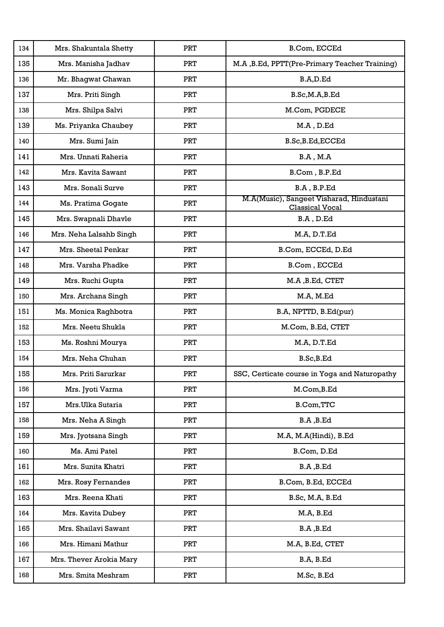| 134 | Mrs. Shakuntala Shetty  | <b>PRT</b> | B.Com, ECCEd                                                       |
|-----|-------------------------|------------|--------------------------------------------------------------------|
| 135 | Mrs. Manisha Jadhav     | <b>PRT</b> | M.A, B.Ed, PPTT(Pre-Primary Teacher Training)                      |
| 136 | Mr. Bhagwat Chawan      | <b>PRT</b> | B.A,D.Ed                                                           |
| 137 | Mrs. Priti Singh        | <b>PRT</b> | B.Sc,M.A,B.Ed                                                      |
| 138 | Mrs. Shilpa Salvi       | <b>PRT</b> | M.Com, PGDECE                                                      |
| 139 | Ms. Priyanka Chaubey    | <b>PRT</b> | M.A, D.Ed                                                          |
| 140 | Mrs. Sumi Jain          | <b>PRT</b> | B.Sc, B.Ed, ECCEd                                                  |
| 141 | Mrs. Unnati Raheria     | <b>PRT</b> | $B.A$ , $M.A$                                                      |
| 142 | Mrs. Kavita Sawant      | <b>PRT</b> | B.Com, B.P.Ed                                                      |
| 143 | Mrs. Sonali Surve       | <b>PRT</b> | B.A, B.P.Ed                                                        |
| 144 | Ms. Pratima Gogate      | <b>PRT</b> | M.A(Music), Sangeet Visharad, Hindustani<br><b>Classical Vocal</b> |
| 145 | Mrs. Swapnali Dhavle    | <b>PRT</b> | B.A, D.Ed                                                          |
| 146 | Mrs. Neha Lalsahb Singh | <b>PRT</b> | M.A, D.T.Ed                                                        |
| 147 | Mrs. Sheetal Penkar     | <b>PRT</b> | B.Com, ECCEd, D.Ed                                                 |
| 148 | Mrs. Varsha Phadke      | <b>PRT</b> | B.Com, ECCEd                                                       |
| 149 | Mrs. Ruchi Gupta        | <b>PRT</b> | M.A, B.Ed, CTET                                                    |
| 150 | Mrs. Archana Singh      | <b>PRT</b> | M.A, M.Ed                                                          |
| 151 | Ms. Monica Raghbotra    | <b>PRT</b> | B.A, NPTTD, B.Ed(pur)                                              |
| 152 | Mrs. Neetu Shukla       | <b>PRT</b> | M.Com, B.Ed, CTET                                                  |
| 153 | Ms. Roshni Mourya       | <b>PRT</b> | M.A, D.T.Ed                                                        |
| 154 | Mrs. Neha Chuhan        | <b>PRT</b> | B.Sc, B.Ed                                                         |
| 155 | Mrs. Priti Sarurkar     | PRT        | SSC, Certicate course in Yoga and Naturopathy                      |
| 156 | Mrs. Jyoti Varma        | <b>PRT</b> | M.Com, B.Ed                                                        |
| 157 | Mrs.Ulka Sutaria        | <b>PRT</b> | <b>B.Com, TTC</b>                                                  |
| 158 | Mrs. Neha A Singh       | <b>PRT</b> | B.A, B.Ed                                                          |
| 159 | Mrs. Jyotsana Singh     | <b>PRT</b> | M.A, M.A(Hindi), B.Ed                                              |
| 160 | Ms. Ami Patel           | <b>PRT</b> | B.Com, D.Ed                                                        |
| 161 | Mrs. Sunita Khatri      | <b>PRT</b> | B.A, B.Ed                                                          |
| 162 | Mrs. Rosy Fernandes     | PRT        | B.Com, B.Ed, ECCEd                                                 |
| 163 | Mrs. Reena Khati        | <b>PRT</b> | B.Sc, M.A, B.Ed                                                    |
| 164 | Mrs. Kavita Dubey       | <b>PRT</b> | M.A, B.Ed                                                          |
| 165 | Mrs. Shailavi Sawant    | <b>PRT</b> | B.A, B.Ed                                                          |
| 166 | Mrs. Himani Mathur      | <b>PRT</b> | M.A, B.Ed, CTET                                                    |
| 167 | Mrs. Thever Arokia Mary | <b>PRT</b> | B.A, B.Ed                                                          |
| 168 | Mrs. Smita Meshram      | <b>PRT</b> | M.Sc, B.Ed                                                         |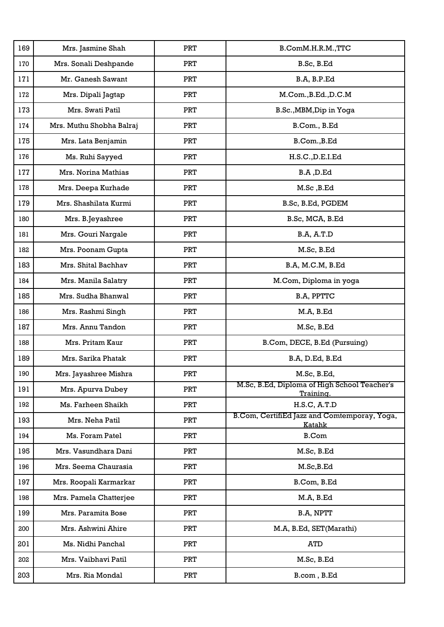| 169 | Mrs. Jasmine Shah        | PRT        | B.ComM.H.R.M., TTC                                            |
|-----|--------------------------|------------|---------------------------------------------------------------|
| 170 | Mrs. Sonali Deshpande    | <b>PRT</b> | B.Sc, B.Ed                                                    |
| 171 | Mr. Ganesh Sawant        | <b>PRT</b> | B.A, B.P.Ed                                                   |
| 172 | Mrs. Dipali Jagtap       | <b>PRT</b> | M.Com., B.Ed., D.C.M                                          |
| 173 | Mrs. Swati Patil         | <b>PRT</b> | B.Sc., MBM, Dip in Yoga                                       |
| 174 | Mrs. Muthu Shobha Balraj | <b>PRT</b> | B.Com., B.Ed                                                  |
| 175 | Mrs. Lata Benjamin       | <b>PRT</b> | B.Com., B.Ed                                                  |
| 176 | Ms. Ruhi Sayyed          | <b>PRT</b> | H.S.C., D.E.I.Ed                                              |
| 177 | Mrs. Norina Mathias      | <b>PRT</b> | B.A, D.Ed                                                     |
| 178 | Mrs. Deepa Kurhade       | PRT        | M.Sc, B.Ed                                                    |
| 179 | Mrs. Shashilata Kurmi    | <b>PRT</b> | B.Sc, B.Ed, PGDEM                                             |
| 180 | Mrs. B.Jeyashree         | <b>PRT</b> | B.Sc, MCA, B.Ed                                               |
| 181 | Mrs. Gouri Nargale       | <b>PRT</b> | <b>B.A, A.T.D</b>                                             |
| 182 | Mrs. Poonam Gupta        | <b>PRT</b> | M.Sc, B.Ed                                                    |
| 183 | Mrs. Shital Bachhav      | <b>PRT</b> | B.A, M.C.M, B.Ed                                              |
| 184 | Mrs. Manila Salatry      | <b>PRT</b> | M.Com, Diploma in yoga                                        |
| 185 | Mrs. Sudha Bhanwal       | <b>PRT</b> | B.A, PPTTC                                                    |
| 186 | Mrs. Rashmi Singh        | <b>PRT</b> | M.A, B.Ed                                                     |
| 187 | Mrs. Annu Tandon         | <b>PRT</b> | M.Sc, B.Ed                                                    |
| 188 | Mrs. Pritam Kaur         | <b>PRT</b> | B.Com, DECE, B.Ed (Pursuing)                                  |
| 189 | Mrs. Sarika Phatak       | <b>PRT</b> | B.A, D.Ed, B.Ed                                               |
| 190 | Mrs. Jayashree Mishra    | <b>PRT</b> | M.Sc. B.Ed.                                                   |
| 191 | Mrs. Apurva Dubey        | <b>PRT</b> | M.Sc, B.Ed, Diploma of High School Teacher's<br>Training.     |
| 192 | Ms. Farheen Shaikh       | <b>PRT</b> | <b>H.S.C, A.T.D</b>                                           |
| 193 | Mrs. Neha Patil          | <b>PRT</b> | B.Com, CertifiEd Jazz and Comtemporay, Yoga,<br><b>Katahk</b> |
| 194 | Ms. Foram Patel          | <b>PRT</b> | <b>B.Com</b>                                                  |
| 195 | Mrs. Vasundhara Dani     | PRT        | M.Sc, B.Ed                                                    |
| 196 | Mrs. Seema Chaurasia     | <b>PRT</b> | M.Sc,B.Ed                                                     |
| 197 | Mrs. Roopali Karmarkar   | <b>PRT</b> | B.Com, B.Ed                                                   |
| 198 | Mrs. Pamela Chatterjee   | <b>PRT</b> | M.A, B.Ed                                                     |
| 199 | Mrs. Paramita Bose       | <b>PRT</b> | B.A, NPTT                                                     |
| 200 | Mrs. Ashwini Ahire       | <b>PRT</b> | M.A, B.Ed, SET(Marathi)                                       |
| 201 | Ms. Nidhi Panchal        | <b>PRT</b> | <b>ATD</b>                                                    |
| 202 | Mrs. Vaibhavi Patil      | <b>PRT</b> | M.Sc, B.Ed                                                    |
| 203 | Mrs. Ria Mondal          | <b>PRT</b> | B.com, B.Ed                                                   |